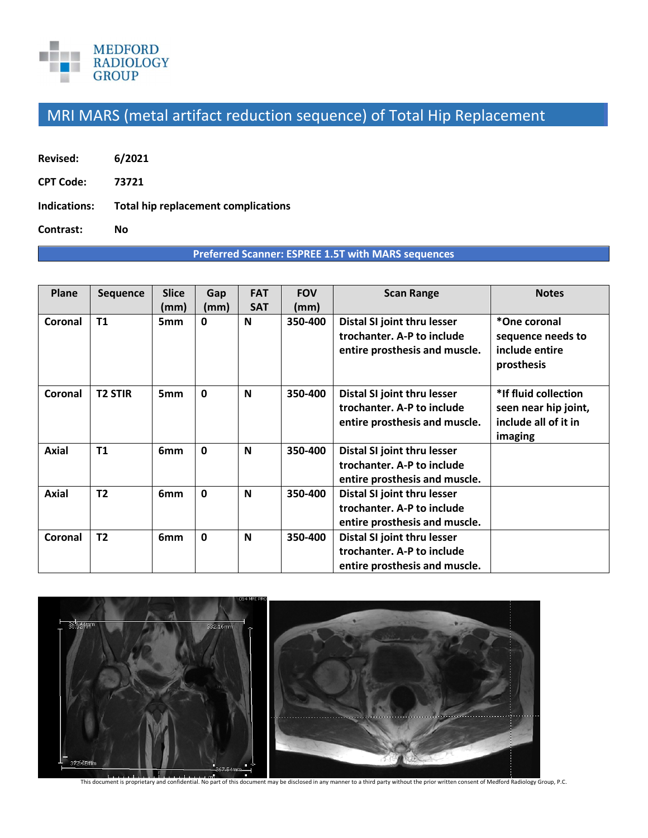

## MRI MARS (metal artifact reduction sequence) of Total Hip Replacement

| 6/2021 |
|--------|
|        |

**CPT Code: 73721** 

**Indications: Total hip replacement complications** 

**Contrast: No** 

## **Preferred Scanner: ESPREE 1.5T with MARS sequences**

| Plane        | <b>Sequence</b> | <b>Slice</b>    | Gap          | <b>FAT</b> | <b>FOV</b> | <b>Scan Range</b>                                                                          | <b>Notes</b>                                                                    |
|--------------|-----------------|-----------------|--------------|------------|------------|--------------------------------------------------------------------------------------------|---------------------------------------------------------------------------------|
|              |                 | (mm)            | (mm)         | <b>SAT</b> | (mm)       |                                                                                            |                                                                                 |
| Coronal      | T1              | 5 <sub>mm</sub> | 0            | N          | 350-400    | Distal SI joint thru lesser<br>trochanter. A-P to include<br>entire prosthesis and muscle. | *One coronal<br>sequence needs to<br>include entire<br>prosthesis               |
| Coronal      | <b>T2 STIR</b>  | 5 <sub>mm</sub> | $\mathbf{0}$ | N          | 350-400    | Distal SI joint thru lesser<br>trochanter. A-P to include<br>entire prosthesis and muscle. | *If fluid collection<br>seen near hip joint,<br>include all of it in<br>imaging |
| <b>Axial</b> | T1              | 6 <sub>mm</sub> | $\mathbf{0}$ | N          | 350-400    | Distal SI joint thru lesser<br>trochanter. A-P to include<br>entire prosthesis and muscle. |                                                                                 |
| <b>Axial</b> | T <sub>2</sub>  | 6 <sub>mm</sub> | $\mathbf{0}$ | N          | 350-400    | Distal SI joint thru lesser<br>trochanter. A-P to include<br>entire prosthesis and muscle. |                                                                                 |
| Coronal      | T <sub>2</sub>  | 6 <sub>mm</sub> | $\mathbf 0$  | N          | 350-400    | Distal SI joint thru lesser<br>trochanter. A-P to include<br>entire prosthesis and muscle. |                                                                                 |